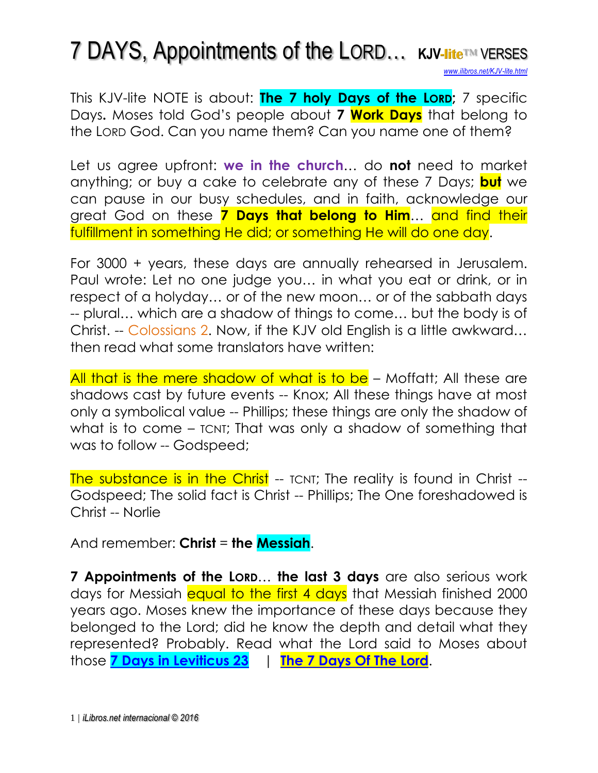## 7 DAYS, Appointments of the LORD… **KJV-lite**™ VERSES

*[www.ilibros.net/KJV-lite.html](http://www.ilibros.net/KJV-lite.html)*

This KJV-lite NOTE is about: **The 7 holy Days of the LORD;** 7 specific Days**.** Moses told God's people about **7 Work Days** that belong to the LORD God. Can you name them? Can you name one of them?

Let us agree upfront: **we in the church**… do **not** need to market anything; or buy a cake to celebrate any of these 7 Days; **but** we can pause in our busy schedules, and in faith, acknowledge our great God on these **7 Days that belong to Him**… and find their fulfillment in something He did; or something He will do one day.

For 3000 + years, these days are annually rehearsed in Jerusalem. Paul wrote: Let no one judge you… in what you eat or drink, or in respect of a holyday… or of the new moon… or of the sabbath days -- plural… which are a shadow of things to come… but the body is of Christ. -- Colossians 2. Now, if the KJV old English is a little awkward… then read what some translators have written:

All that is the mere shadow of what is to be – Moffatt; All these are shadows cast by future events -- Knox; All these things have at most only a symbolical value -- Phillips; these things are only the shadow of what is to come - TCNT; That was only a shadow of something that was to follow -- Godspeed;

The substance is in the Christ -- TCNT; The reality is found in Christ --Godspeed; The solid fact is Christ -- Phillips; The One foreshadowed is Christ -- Norlie

And remember: **Christ** = **the Messiah**.

**7 Appointments of the LORD**… **the last 3 days** are also serious work days for Messiah equal to the first 4 days that Messiah finished 2000 years ago. Moses knew the importance of these days because they belonged to the Lord; did he know the depth and detail what they represented? Probably. Read what the Lord said to Moses about those **[7 Days in Leviticus 23](http://www.isa-net.org/pdf/LEVITICUS23vs1.pdf)** | **[The 7 Days Of The Lord](http://www.ilibros.net/KJV-lite.DaysOfTheLord.html)**.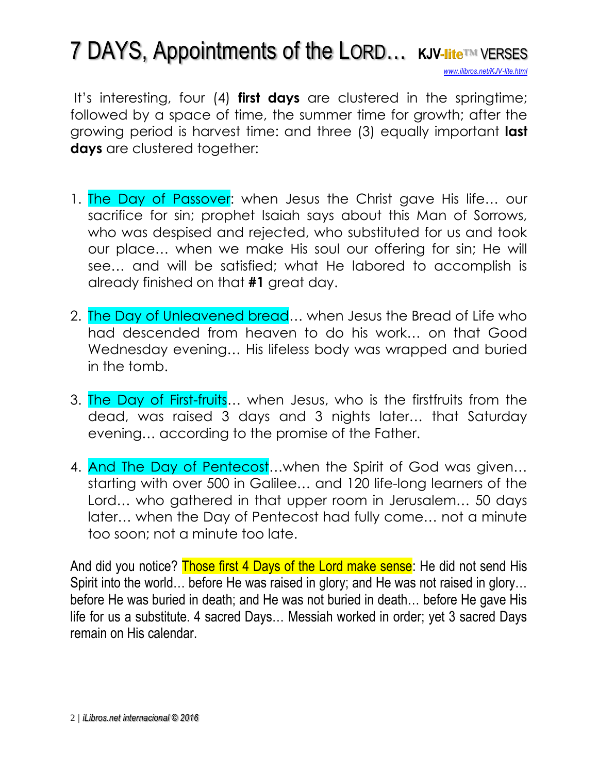## 7 DAYS, Appointments of the LORD… **KJV-lite**™ VERSES *[www.ilibros.net/KJV-lite.html](http://www.ilibros.net/KJV-lite.html)*

It's interesting, four (4) **first days** are clustered in the springtime; followed by a space of time, the summer time for growth; after the growing period is harvest time: and three (3) equally important **last days** are clustered together:

- 1. The Day of Passover: when Jesus the Christ gave His life... our sacrifice for sin; prophet Isaiah says about this Man of Sorrows, who was despised and rejected, who substituted for us and took our place… when we make His soul our offering for sin; He will see… and will be satisfied; what He labored to accomplish is already finished on that **#1** great day.
- 2. The Day of Unleavened bread… when Jesus the Bread of Life who had descended from heaven to do his work… on that Good Wednesday evening… His lifeless body was wrapped and buried in the tomb.
- 3. The Day of First-fruits… when Jesus, who is the firstfruits from the dead, was raised 3 days and 3 nights later… that Saturday evening… according to the promise of the Father.
- 4. And The Day of Pentecost…when the Spirit of God was given… starting with over 500 in Galilee… and 120 life-long learners of the Lord… who gathered in that upper room in Jerusalem… 50 days later… when the Day of Pentecost had fully come… not a minute too soon; not a minute too late.

And did you notice? Those first 4 Days of the Lord make sense: He did not send His Spirit into the world… before He was raised in glory; and He was not raised in glory… before He was buried in death; and He was not buried in death… before He gave His life for us a substitute. 4 sacred Days… Messiah worked in order; yet 3 sacred Days remain on His calendar.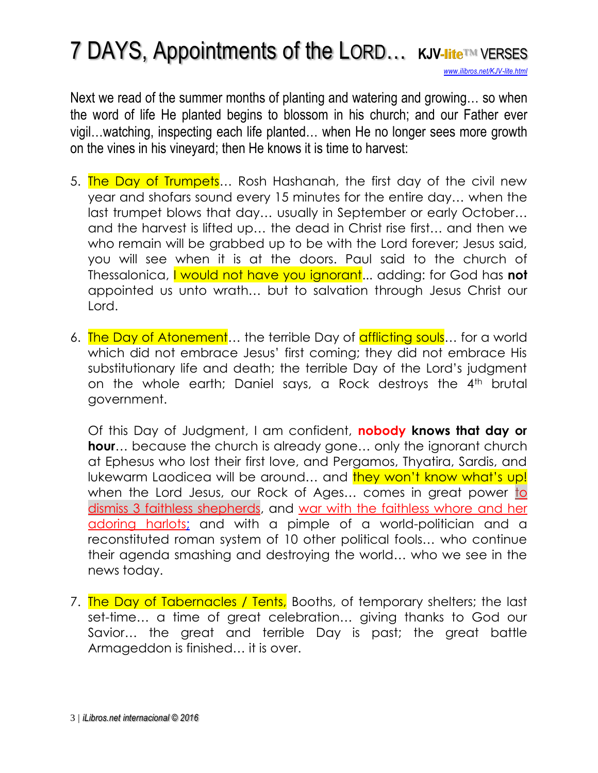## 7 DAYS, Appointments of the LORD… **KJV-lite**™ VERSES

*[www.ilibros.net/KJV-lite.html](http://www.ilibros.net/KJV-lite.html)*

Next we read of the summer months of planting and watering and growing… so when the word of life He planted begins to blossom in his church; and our Father ever vigil…watching, inspecting each life planted… when He no longer sees more growth on the vines in his vineyard; then He knows it is time to harvest:

- 5. The Day of Trumpets... Rosh Hashanah, the first day of the civil new year and shofars sound every 15 minutes for the entire day… when the last trumpet blows that day… usually in September or early October… and the harvest is lifted up… the dead in Christ rise first… and then we who remain will be grabbed up to be with the Lord forever; Jesus said, you will see when it is at the doors. Paul said to the church of Thessalonica, I would not have you ignorant... adding: for God has **not** appointed us unto wrath… but to salvation through Jesus Christ our Lord.
- 6. The Day of Atonement... the terrible Day of afflicting souls... for a world which did not embrace Jesus' first coming; they did not embrace His substitutionary life and death; the terrible Day of the Lord's judgment on the whole earth; Daniel says, a Rock destroys the 4th brutal government.

Of this Day of Judgment, I am confident, **nobody knows that day or hour**… because the church is already gone… only the ignorant church at Ephesus who lost their first love, and Pergamos, Thyatira, Sardis, and lukewarm Laodicea will be around... and they won't know what's up! when the Lord Jesus, our Rock of Ages... comes in great power to [dismiss 3 faithless](http://www.isa-net.org/pdf/ZECHARIAH11vs1.pdf) shepherds, and [war with the faithless whore](http://www.isa-net.org/pdf/REVELATION17vs1.pdf) and her [adoring harlots;](http://www.isa-net.org/pdf/REVELATION17vs1.pdf) and with a pimple of a world-politician and a reconstituted roman system of 10 other political fools… who continue their agenda smashing and destroying the world… who we see in the news today.

7. The Day of Tabernacles / Tents, Booths, of temporary shelters; the last set-time… a time of great celebration… giving thanks to God our Savior… the great and terrible Day is past; the great battle Armageddon is finished… it is over.